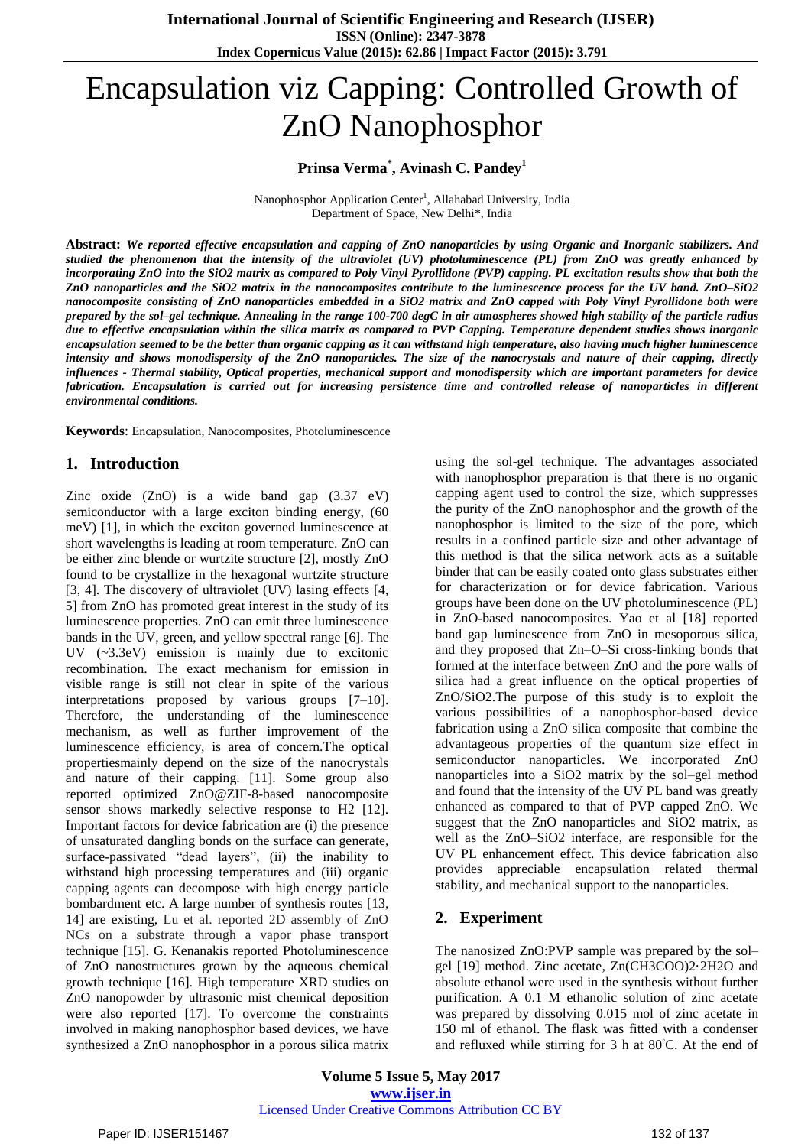# Encapsulation viz Capping: Controlled Growth of ZnO Nanophosphor

### **Prinsa Verma\* , Avinash C. Pandey<sup>1</sup>**

Nanophosphor Application Center<sup>1</sup>, Allahabad University, India Department of Space, New Delhi\*, India

Abstract: We reported effective encapsulation and capping of ZnO nanoparticles by using Organic and Inorganic stabilizers. And studied the phenomenon that the intensity of the ultraviolet (UV) photoluminescence (PL) from ZnO was greatly enhanced by incorporating ZnO into the SiO2 matrix as compared to Poly Vinyl Pyrollidone (PVP) capping. PL excitation results show that both the ZnO nanoparticles and the SiO2 matrix in the nanocomposites contribute to the luminescence process for the UV band. ZnO-SiO2 nanocomposite consisting of ZnO nanoparticles embedded in a SiO2 matrix and ZnO capped with Poly Vinyl Pyrollidone both were prepared by the sol-gel technique. Annealing in the range 100-700 degC in air atmospheres showed high stability of the particle radius due to effective encapsulation within the silica matrix as compared to PVP Capping. Temperature dependent studies shows inorganic encapsulation seemed to be the better than organic capping as it can withstand high temperature, also having much higher luminescence intensity and shows monodispersity of the ZnO nanoparticles. The size of the nanocrystals and nature of their capping, directly influences - Thermal stability, Optical properties, mechanical support and monodispersity which are important parameters for device fabrication. Encapsulation is carried out for increasing persistence time and controlled release of nanoparticles in different *environmental conditions.*

**Keywords**: Encapsulation, Nanocomposites, Photoluminescence

### **1. Introduction**

Zinc oxide (ZnO) is a wide band gap (3.37 eV) semiconductor with a large exciton binding energy, (60 meV) [1], in which the exciton governed luminescence at short wavelengths is leading at room temperature. ZnO can be either zinc blende or wurtzite structure [2], mostly ZnO found to be crystallize in the hexagonal wurtzite structure [3, 4]. The discovery of ultraviolet (UV) lasing effects [4, 5] from ZnO has promoted great interest in the study of its luminescence properties. ZnO can emit three luminescence bands in the UV, green, and yellow spectral range [6]. The UV (~3.3eV) emission is mainly due to excitonic recombination. The exact mechanism for emission in visible range is still not clear in spite of the various interpretations proposed by various groups [7–10]. Therefore, the understanding of the luminescence mechanism, as well as further improvement of the luminescence efficiency, is area of concern.The optical propertiesmainly depend on the size of the nanocrystals and nature of their capping. [11]. Some group also reported optimized ZnO@ZIF-8-based nanocomposite sensor shows markedly selective response to H2 [12]. Important factors for device fabrication are (i) the presence of unsaturated dangling bonds on the surface can generate, surface-passivated "dead layers", (ii) the inability to withstand high processing temperatures and (iii) organic capping agents can decompose with high energy particle bombardment etc. A large number of synthesis routes [13, 14] are existing, Lu et al. reported 2D assembly of ZnO NCs on a substrate through a vapor phase transport technique [15]. G. Kenanakis reported Photoluminescence of ZnO nanostructures grown by the aqueous chemical growth technique [16]. High temperature XRD studies on ZnO nanopowder by ultrasonic mist chemical deposition were also reported [17]. To overcome the constraints involved in making nanophosphor based devices, we have synthesized a ZnO nanophosphor in a porous silica matrix

using the sol-gel technique. The advantages associated with nanophosphor preparation is that there is no organic capping agent used to control the size, which suppresses the purity of the ZnO nanophosphor and the growth of the nanophosphor is limited to the size of the pore, which results in a confined particle size and other advantage of this method is that the silica network acts as a suitable binder that can be easily coated onto glass substrates either for characterization or for device fabrication. Various groups have been done on the UV photoluminescence (PL) in ZnO-based nanocomposites. Yao et al [18] reported band gap luminescence from ZnO in mesoporous silica, and they proposed that Zn–O–Si cross-linking bonds that formed at the interface between ZnO and the pore walls of silica had a great influence on the optical properties of ZnO/SiO2.The purpose of this study is to exploit the various possibilities of a nanophosphor-based device fabrication using a ZnO silica composite that combine the advantageous properties of the quantum size effect in semiconductor nanoparticles. We incorporated ZnO nanoparticles into a SiO2 matrix by the sol–gel method and found that the intensity of the UV PL band was greatly enhanced as compared to that of PVP capped ZnO. We suggest that the ZnO nanoparticles and SiO2 matrix, as well as the ZnO–SiO2 interface, are responsible for the UV PL enhancement effect. This device fabrication also provides appreciable encapsulation related thermal stability, and mechanical support to the nanoparticles.

#### **2. Experiment**

The nanosized ZnO:PVP sample was prepared by the sol– gel [19] method. Zinc acetate, Zn(CH3COO)2·2H2O and absolute ethanol were used in the synthesis without further purification. A 0.1 M ethanolic solution of zinc acetate was prepared by dissolving 0.015 mol of zinc acetate in 150 ml of ethanol. The flask was fitted with a condenser and refluxed while stirring for 3 h at 80◦C. At the end of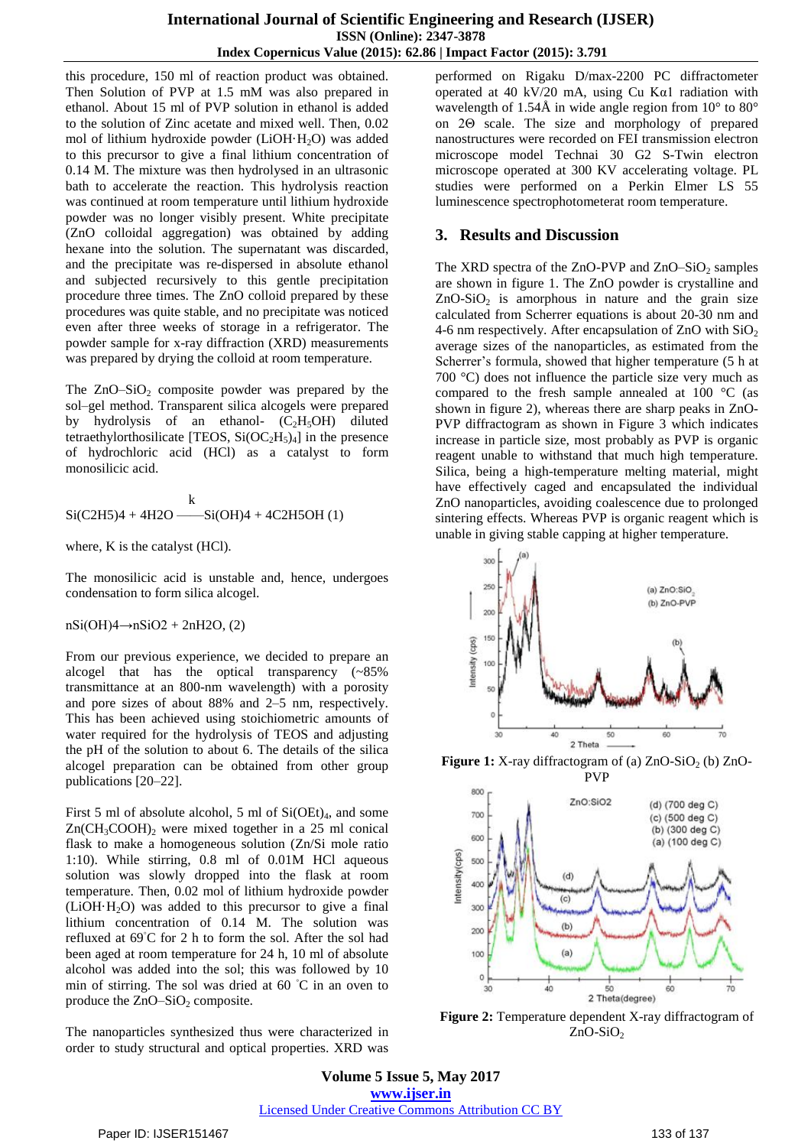this procedure, 150 ml of reaction product was obtained. Then Solution of PVP at 1.5 mM was also prepared in ethanol. About 15 ml of PVP solution in ethanol is added to the solution of Zinc acetate and mixed well. Then, 0.02 mol of lithium hydroxide powder  $(LiOH·H<sub>2</sub>O)$  was added to this precursor to give a final lithium concentration of 0.14 M. The mixture was then hydrolysed in an ultrasonic bath to accelerate the reaction. This hydrolysis reaction was continued at room temperature until lithium hydroxide powder was no longer visibly present. White precipitate (ZnO colloidal aggregation) was obtained by adding hexane into the solution. The supernatant was discarded, and the precipitate was re-dispersed in absolute ethanol and subjected recursively to this gentle precipitation procedure three times. The ZnO colloid prepared by these procedures was quite stable, and no precipitate was noticed even after three weeks of storage in a refrigerator. The powder sample for x-ray diffraction (XRD) measurements was prepared by drying the colloid at room temperature.

The  $ZnO-SiO<sub>2</sub>$  composite powder was prepared by the sol–gel method. Transparent silica alcogels were prepared by hydrolysis of an ethanol-  $(C_2H_5OH)$  diluted tetraethylorthosilicate [TEOS,  $Si(OC<sub>2</sub>H<sub>5</sub>)<sub>4</sub>$ ] in the presence of hydrochloric acid (HCl) as a catalyst to form monosilicic acid.

$$
k
$$
Si(C2H5)4 + 4H2O — Si(OH)4 + 4C2H5OH (1)

where, K is the catalyst (HCl).

The monosilicic acid is unstable and, hence, undergoes condensation to form silica alcogel.

 $nSi(OH)4 \rightarrow nSiO2 + 2nH2O$ , (2)

From our previous experience, we decided to prepare an alcogel that has the optical transparency (~85% transmittance at an 800-nm wavelength) with a porosity and pore sizes of about 88% and 2–5 nm, respectively. This has been achieved using stoichiometric amounts of water required for the hydrolysis of TEOS and adjusting the pH of the solution to about 6. The details of the silica alcogel preparation can be obtained from other group publications [20–22].

First 5 ml of absolute alcohol, 5 ml of  $Si(OEt)_4$ , and some  $Zn(CH_3COOH)$ <sub>2</sub> were mixed together in a 25 ml conical flask to make a homogeneous solution (Zn/Si mole ratio 1:10). While stirring, 0.8 ml of 0.01M HCl aqueous solution was slowly dropped into the flask at room temperature. Then, 0.02 mol of lithium hydroxide powder  $(LiOH·H<sub>2</sub>O)$  was added to this precursor to give a final lithium concentration of 0.14 M. The solution was refluxed at 69◦C for 2 h to form the sol. After the sol had been aged at room temperature for 24 h, 10 ml of absolute alcohol was added into the sol; this was followed by 10 min of stirring. The sol was dried at 60 ◦C in an oven to produce the  $ZnO-SiO<sub>2</sub>$  composite.

The nanoparticles synthesized thus were characterized in order to study structural and optical properties. XRD was

performed on Rigaku D/max-2200 PC diffractometer operated at 40 kV/20 mA, using Cu Kα1 radiation with wavelength of 1.54Å in wide angle region from  $10^{\circ}$  to  $80^{\circ}$ on 2Θ scale. The size and morphology of prepared nanostructures were recorded on FEI transmission electron microscope model Technai 30 G2 S-Twin electron microscope operated at 300 KV accelerating voltage. PL studies were performed on a Perkin Elmer LS 55 luminescence spectrophotometerat room temperature.

## **3. Results and Discussion**

The XRD spectra of the ZnO-PVP and  $ZnO-SiO<sub>2</sub>$  samples are shown in figure 1. The ZnO powder is crystalline and  $ZnO-SiO<sub>2</sub>$  is amorphous in nature and the grain size calculated from Scherrer equations is about 20-30 nm and 4-6 nm respectively. After encapsulation of ZnO with  $SiO<sub>2</sub>$ average sizes of the nanoparticles, as estimated from the Scherrer's formula, showed that higher temperature (5 h at 700 °C) does not influence the particle size very much as compared to the fresh sample annealed at 100 °C (as shown in figure 2), whereas there are sharp peaks in ZnO-PVP diffractogram as shown in Figure 3 which indicates increase in particle size, most probably as PVP is organic reagent unable to withstand that much high temperature. Silica, being a high-temperature melting material, might have effectively caged and encapsulated the individual ZnO nanoparticles, avoiding coalescence due to prolonged sintering effects. Whereas PVP is organic reagent which is unable in giving stable capping at higher temperature.



**Figure 1:** X-ray diffractogram of (a) ZnO-SiO<sub>2</sub> (b) ZnO-



**Figure 2:** Temperature dependent X-ray diffractogram of  $ZnO-SiO<sub>2</sub>$ 

**Volume 5 Issue 5, May 2017 www.ijser.in** Licensed Under Creative Commons Attribution CC BY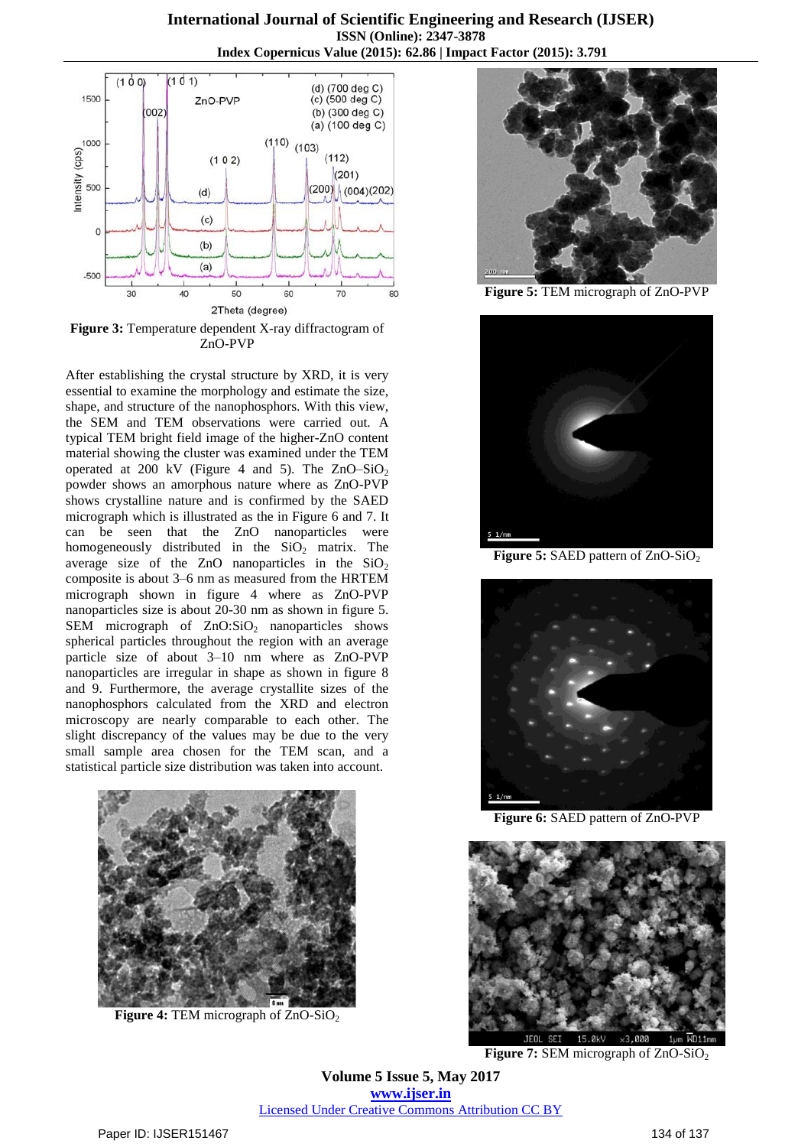

**Figure 3:** Temperature dependent X-ray diffractogram of ZnO-PVP

After establishing the crystal structure by XRD, it is very essential to examine the morphology and estimate the size, shape, and structure of the nanophosphors. With this view, the SEM and TEM observations were carried out. A typical TEM bright field image of the higher-ZnO content material showing the cluster was examined under the TEM operated at 200 kV (Figure 4 and 5). The  $ZnO-SiO<sub>2</sub>$ powder shows an amorphous nature where as ZnO-PVP shows crystalline nature and is confirmed by the SAED micrograph which is illustrated as the in Figure 6 and 7. It can be seen that the ZnO nanoparticles were homogeneously distributed in the  $SiO<sub>2</sub>$  matrix. The average size of the ZnO nanoparticles in the  $SiO<sub>2</sub>$ composite is about 3–6 nm as measured from the HRTEM micrograph shown in figure 4 where as ZnO-PVP nanoparticles size is about 20-30 nm as shown in figure 5. SEM micrograph of  $ZnO:SiO<sub>2</sub>$  nanoparticles shows spherical particles throughout the region with an average particle size of about 3–10 nm where as ZnO-PVP nanoparticles are irregular in shape as shown in figure 8 and 9. Furthermore, the average crystallite sizes of the nanophosphors calculated from the XRD and electron microscopy are nearly comparable to each other. The slight discrepancy of the values may be due to the very small sample area chosen for the TEM scan, and a statistical particle size distribution was taken into account.



**Figure 4:** TEM micrograph of ZnO-SiO<sub>2</sub>



**Figure 5:** TEM micrograph of ZnO-PVP



**Figure 5:** SAED pattern of ZnO-SiO<sub>2</sub>



**Figure 6:** SAED pattern of ZnO-PVP



**Figure 7:** SEM micrograph of ZnO-SiO<sub>2</sub>

**Volume 5 Issue 5, May 2017 www.ijser.in** Licensed Under Creative Commons Attribution CC BY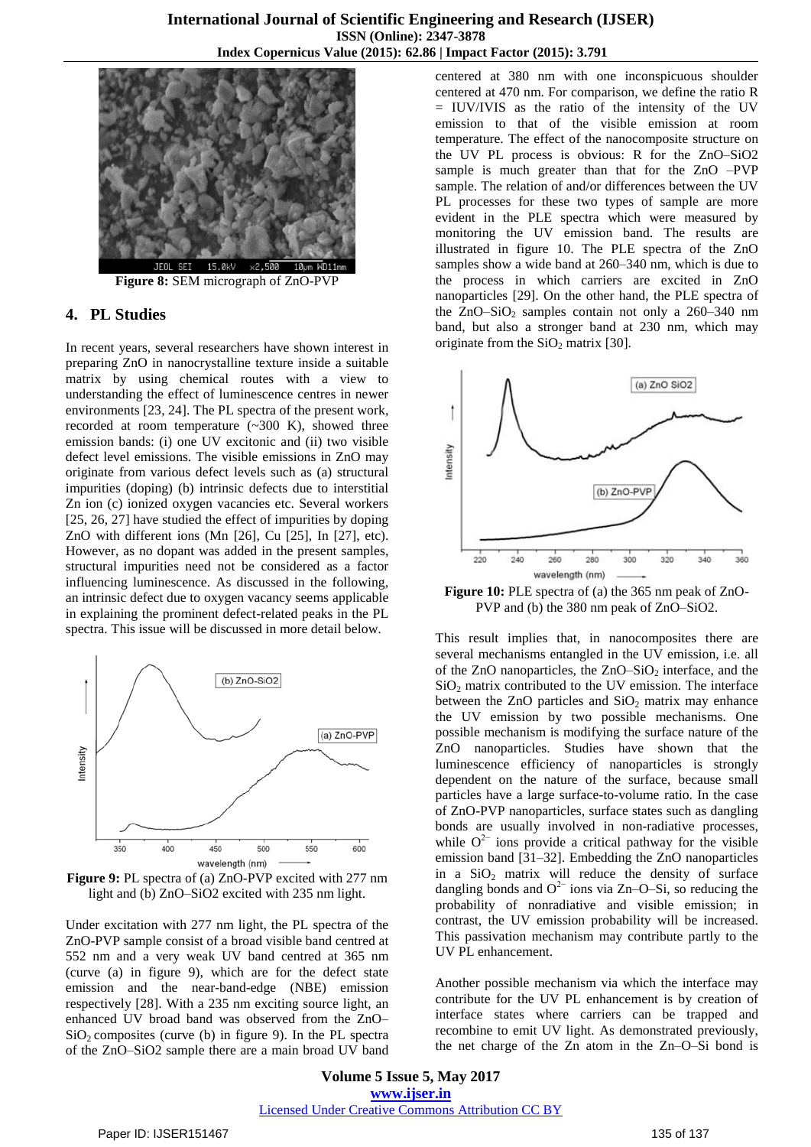

**Figure 8:** SEM micrograph of ZnO-PVP

#### **4. PL Studies**

In recent years, several researchers have shown interest in preparing ZnO in nanocrystalline texture inside a suitable matrix by using chemical routes with a view to understanding the effect of luminescence centres in newer environments [23, 24]. The PL spectra of the present work, recorded at room temperature (~300 K), showed three emission bands: (i) one UV excitonic and (ii) two visible defect level emissions. The visible emissions in ZnO may originate from various defect levels such as (a) structural impurities (doping) (b) intrinsic defects due to interstitial Zn ion (c) ionized oxygen vacancies etc. Several workers [25, 26, 27] have studied the effect of impurities by doping ZnO with different ions (Mn [26], Cu [25], In [27], etc). However, as no dopant was added in the present samples, structural impurities need not be considered as a factor influencing luminescence. As discussed in the following, an intrinsic defect due to oxygen vacancy seems applicable in explaining the prominent defect-related peaks in the PL spectra. This issue will be discussed in more detail below.



**Figure 9:** PL spectra of (a) ZnO-PVP excited with 277 nm light and (b) ZnO–SiO2 excited with 235 nm light.

Under excitation with 277 nm light, the PL spectra of the ZnO-PVP sample consist of a broad visible band centred at 552 nm and a very weak UV band centred at 365 nm (curve (a) in figure 9), which are for the defect state emission and the near-band-edge (NBE) emission respectively [28]. With a 235 nm exciting source light, an enhanced UV broad band was observed from the ZnO–  $SiO<sub>2</sub>$  composites (curve (b) in figure 9). In the PL spectra of the ZnO–SiO2 sample there are a main broad UV band centered at 380 nm with one inconspicuous shoulder centered at 470 nm. For comparison, we define the ratio R = IUV/IVIS as the ratio of the intensity of the UV emission to that of the visible emission at room temperature. The effect of the nanocomposite structure on the UV PL process is obvious: R for the ZnO–SiO2 sample is much greater than that for the ZnO –PVP sample. The relation of and/or differences between the UV PL processes for these two types of sample are more evident in the PLE spectra which were measured by monitoring the UV emission band. The results are illustrated in figure 10. The PLE spectra of the ZnO samples show a wide band at 260–340 nm, which is due to the process in which carriers are excited in ZnO nanoparticles [29]. On the other hand, the PLE spectra of the  $ZnO-SiO<sub>2</sub>$  samples contain not only a 260–340 nm band, but also a stronger band at 230 nm, which may originate from the  $SiO<sub>2</sub>$  matrix [30].



**Figure 10:** PLE spectra of (a) the 365 nm peak of ZnO-PVP and (b) the 380 nm peak of ZnO–SiO2.

This result implies that, in nanocomposites there are several mechanisms entangled in the UV emission, i.e. all of the ZnO nanoparticles, the ZnO–SiO<sub>2</sub> interface, and the  $SiO<sub>2</sub>$  matrix contributed to the UV emission. The interface between the ZnO particles and  $SiO<sub>2</sub>$  matrix may enhance the UV emission by two possible mechanisms. One possible mechanism is modifying the surface nature of the ZnO nanoparticles. Studies have shown that the luminescence efficiency of nanoparticles is strongly dependent on the nature of the surface, because small particles have a large surface-to-volume ratio. In the case of ZnO-PVP nanoparticles, surface states such as dangling bonds are usually involved in non-radiative processes, while  $O<sup>2−</sup>$  ions provide a critical pathway for the visible emission band [31–32]. Embedding the ZnO nanoparticles in a  $SiO<sub>2</sub>$  matrix will reduce the density of surface dangling bonds and  $O^{2-}$  ions via Zn–O–Si, so reducing the probability of nonradiative and visible emission; in contrast, the UV emission probability will be increased. This passivation mechanism may contribute partly to the UV PL enhancement.

Another possible mechanism via which the interface may contribute for the UV PL enhancement is by creation of interface states where carriers can be trapped and recombine to emit UV light. As demonstrated previously, the net charge of the Zn atom in the Zn–O–Si bond is

**Volume 5 Issue 5, May 2017 www.ijser.in** Licensed Under Creative Commons Attribution CC BY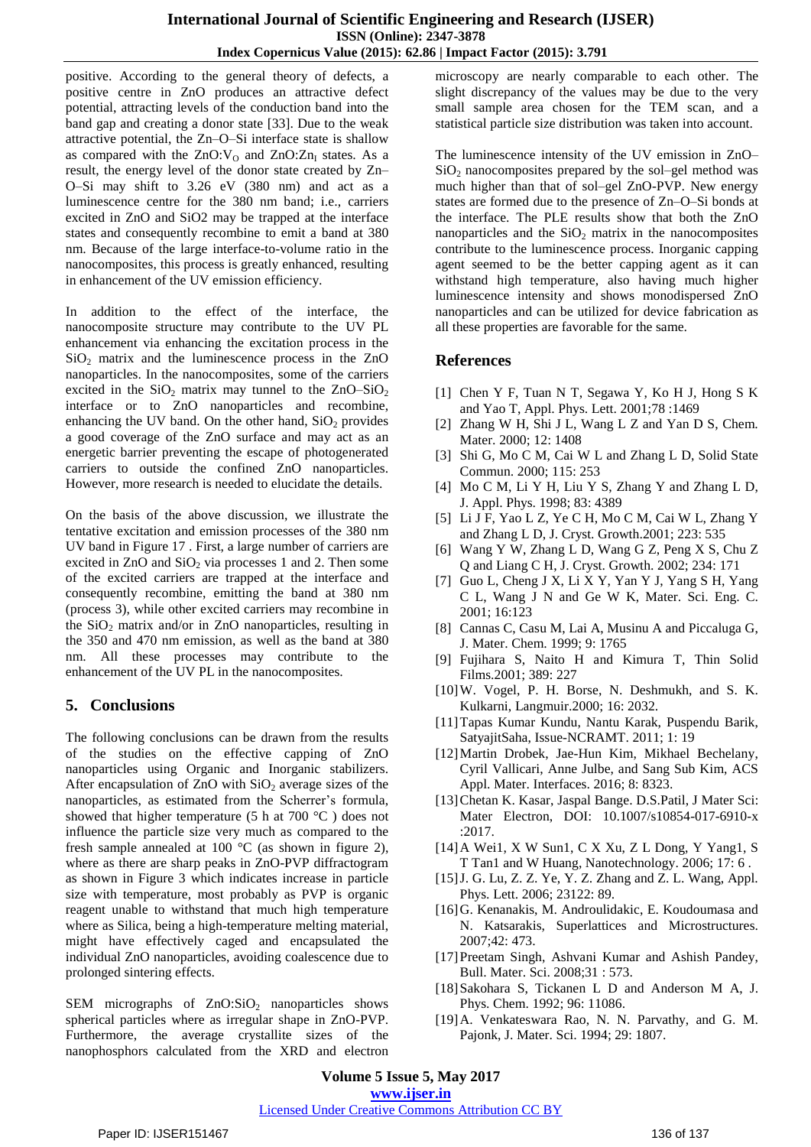positive. According to the general theory of defects, a positive centre in ZnO produces an attractive defect potential, attracting levels of the conduction band into the band gap and creating a donor state [33]. Due to the weak attractive potential, the Zn–O–Si interface state is shallow as compared with the  $ZnO:V<sub>O</sub>$  and  $ZnO:Zn<sub>I</sub>$  states. As a result, the energy level of the donor state created by Zn– O–Si may shift to 3.26 eV (380 nm) and act as a luminescence centre for the 380 nm band; i.e., carriers excited in ZnO and SiO2 may be trapped at the interface states and consequently recombine to emit a band at 380 nm. Because of the large interface-to-volume ratio in the nanocomposites, this process is greatly enhanced, resulting in enhancement of the UV emission efficiency.

In addition to the effect of the interface, the nanocomposite structure may contribute to the UV PL enhancement via enhancing the excitation process in the  $SiO<sub>2</sub>$  matrix and the luminescence process in the ZnO nanoparticles. In the nanocomposites, some of the carriers excited in the  $SiO_2$  matrix may tunnel to the  $ZnO-SiO_2$ interface or to ZnO nanoparticles and recombine, enhancing the UV band. On the other hand,  $SiO<sub>2</sub>$  provides a good coverage of the ZnO surface and may act as an energetic barrier preventing the escape of photogenerated carriers to outside the confined ZnO nanoparticles. However, more research is needed to elucidate the details.

On the basis of the above discussion, we illustrate the tentative excitation and emission processes of the 380 nm UV band in Figure 17 . First, a large number of carriers are excited in  $ZnO$  and  $SiO<sub>2</sub>$  via processes 1 and 2. Then some of the excited carriers are trapped at the interface and consequently recombine, emitting the band at 380 nm (process 3), while other excited carriers may recombine in the  $SiO<sub>2</sub>$  matrix and/or in ZnO nanoparticles, resulting in the 350 and 470 nm emission, as well as the band at 380 nm. All these processes may contribute to the enhancement of the UV PL in the nanocomposites.

## **5. Conclusions**

The following conclusions can be drawn from the results of the studies on the effective capping of ZnO nanoparticles using Organic and Inorganic stabilizers. After encapsulation of  $ZnO$  with  $SiO<sub>2</sub>$  average sizes of the nanoparticles, as estimated from the Scherrer's formula, showed that higher temperature (5 h at 700 °C ) does not influence the particle size very much as compared to the fresh sample annealed at 100 °C (as shown in figure 2), where as there are sharp peaks in ZnO-PVP diffractogram as shown in Figure 3 which indicates increase in particle size with temperature, most probably as PVP is organic reagent unable to withstand that much high temperature where as Silica, being a high-temperature melting material, might have effectively caged and encapsulated the individual ZnO nanoparticles, avoiding coalescence due to prolonged sintering effects.

SEM micrographs of  $ZnO:SiO<sub>2</sub>$  nanoparticles shows spherical particles where as irregular shape in ZnO-PVP. Furthermore, the average crystallite sizes of the nanophosphors calculated from the XRD and electron

microscopy are nearly comparable to each other. The slight discrepancy of the values may be due to the very small sample area chosen for the TEM scan, and a statistical particle size distribution was taken into account.

The luminescence intensity of the UV emission in ZnO– SiO<sub>2</sub> nanocomposites prepared by the sol–gel method was much higher than that of sol–gel ZnO-PVP. New energy states are formed due to the presence of Zn–O–Si bonds at the interface. The PLE results show that both the ZnO nanoparticles and the  $SiO<sub>2</sub>$  matrix in the nanocomposites contribute to the luminescence process. Inorganic capping agent seemed to be the better capping agent as it can withstand high temperature, also having much higher luminescence intensity and shows monodispersed ZnO nanoparticles and can be utilized for device fabrication as all these properties are favorable for the same.

## **References**

- [1] Chen Y F, Tuan N T, Segawa Y, Ko H J, Hong S K and Yao T, Appl. Phys. Lett. 2001;78 :1469
- [2] Zhang W H, Shi J L, Wang L Z and Yan D S, Chem. Mater. 2000; 12: 1408
- [3] Shi G, Mo C M, Cai W L and Zhang L D, Solid State Commun. 2000; 115: 253
- [4] Mo C M, Li Y H, Liu Y S, Zhang Y and Zhang L D, J. Appl. Phys. 1998; 83: 4389
- [5] Li J F, Yao L Z, Ye C H, Mo C M, Cai W L, Zhang Y and Zhang L D, J. Cryst. Growth.2001; 223: 535
- [6] Wang Y W, Zhang L D, Wang G Z, Peng X S, Chu Z Q and Liang C H, J. Cryst. Growth. 2002; 234: 171
- [7] Guo L, Cheng J X, Li X Y, Yan Y J, Yang S H, Yang C L, Wang J N and Ge W K, Mater. Sci. Eng. C. 2001; 16:123
- [8] Cannas C, Casu M, Lai A, Musinu A and Piccaluga G, J. Mater. Chem. 1999; 9: 1765
- [9] Fujihara S, Naito H and Kimura T, Thin Solid Films.2001; 389: 227
- [10]W. Vogel, P. H. Borse, N. Deshmukh, and S. K. Kulkarni, Langmuir.2000; 16: 2032.
- [11]Tapas Kumar Kundu, Nantu Karak, Puspendu Barik, SatyajitSaha, Issue-NCRAMT. 2011; 1: 19
- [12]Martin [Drobek,](http://pubs.acs.org/author/Drobek%2C+Martin) [Jae-Hun](http://pubs.acs.org/author/Kim%2C+Jae-Hun) Kim, Mikhael [Bechelany,](http://pubs.acs.org/author/Bechelany%2C+Mikhael) Cyril [Vallicari,](http://pubs.acs.org/author/Vallicari%2C+Cyril) [Anne](http://pubs.acs.org/author/Julbe%2C+Anne) Julbe, and Sang Sub [Kim,](http://pubs.acs.org/author/Kim%2C+Sang+Sub) ACS Appl. Mater. Interfaces. 2016; 8: 8323.
- [13]Chetan K. Kasar, Jaspal Bange. D.S.Patil, J Mater Sci: Mater Electron, DOI: 10.1007/s10854-017-6910-x :2017.
- [14]A Wei1, X W Sun1, C X Xu, Z L Dong, Y Yang1, S T Tan1 and W Huang, Nanotechnology. 2006; 17: 6 .
- [15]J. G. Lu, Z. Z. Ye, Y. Z. Zhang and Z. L. Wang, Appl. Phys. Lett. 2006; 23122: 89.
- [16]G. Kenanakis, M. Androulidakic, E. Koudoumasa and N. Katsarakis, Superlattices and Microstructures. 2007;42: 473.
- [17]Preetam Singh, Ashvani Kumar and Ashish Pandey, Bull. Mater. Sci. 2008;31 : 573.
- [18]Sakohara S, Tickanen L D and Anderson M A, J. Phys. Chem. 1992; 96: 11086.
- [19]A. Venkateswara Rao, N. N. Parvathy, and G. M. Pajonk, J. Mater. Sci. 1994; 29: 1807.

**Volume 5 Issue 5, May 2017 www.ijser.in**

## Licensed Under Creative Commons Attribution CC BY